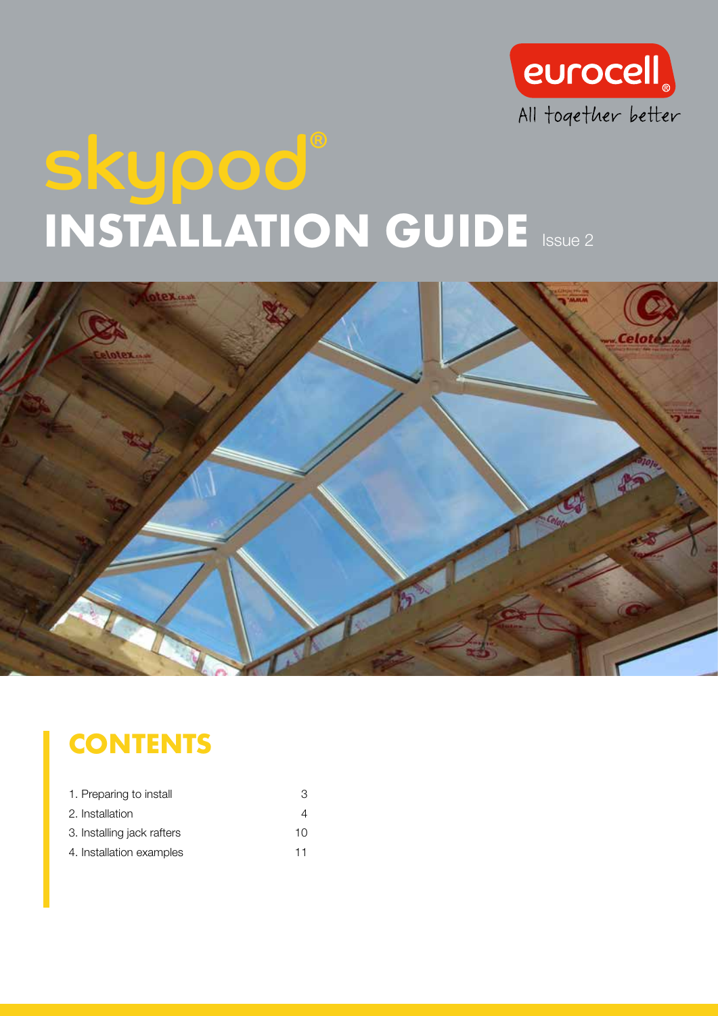

# skypod® INSTALLATION GUIDE ISSUE 2



### **CONTENTS**

| 1. Preparing to install    | З        |
|----------------------------|----------|
| 2. Installation            |          |
| 3. Installing jack rafters | 1 $\cap$ |
| 4. Installation examples   | 11       |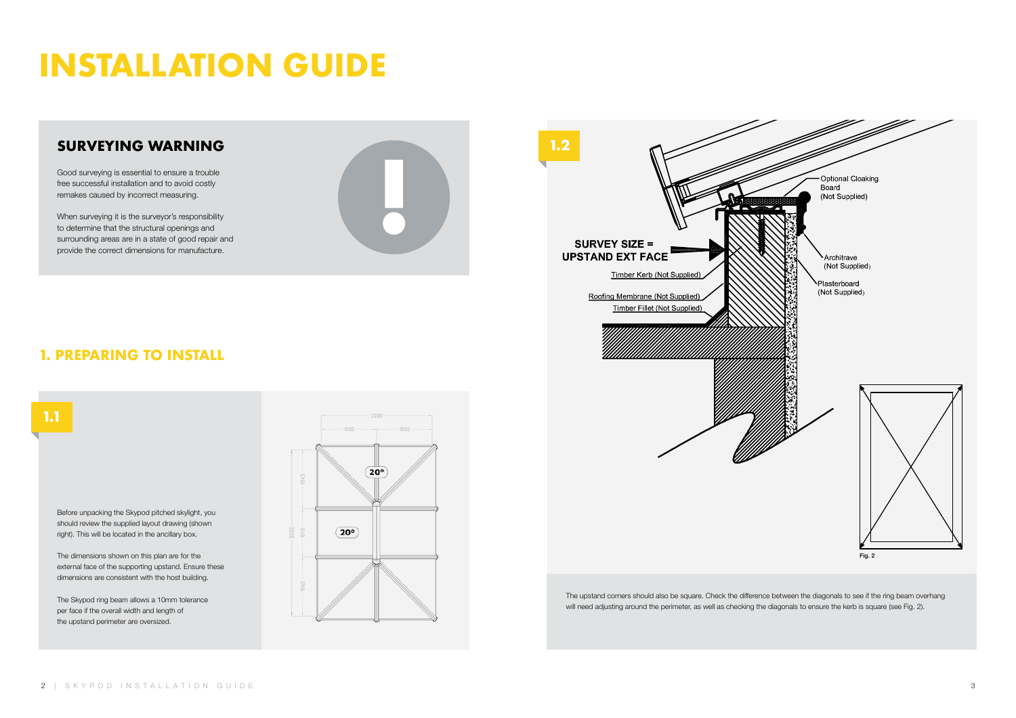## INSTALLATION GUIDE

#### SURVEYING WARNING

Good surveying is essential to ensure a trouble free successful installation and to avoid costly remakes caused by incorrect measuring.

When surveying it is the surveyor's responsibility to determine that the structural openings and surrounding areas are in a state of good repair and provide the correct dimensions for manufacture.



#### 1. PREPARING TO INSTALL

#### 1.1

The upstand corners should also be square. Check the difference between the diagonals to see if the ring beam overhang will need adjusting around the perimeter, as well as checking the diagonals to ensure the kerb is square (see Fig. 2).

Before unpacking the Skypod pitched skylight, you should review the supplied layout drawing (shown right). This will be located in the ancillary box.

The dimensions shown on this plan are for the external face of the supporting upstand. Ensure these dimensions are consistent with the host building.

The Skypod ring beam allows a 10mm tolerance per face if the overall width and length of the upstand perimeter are oversized.



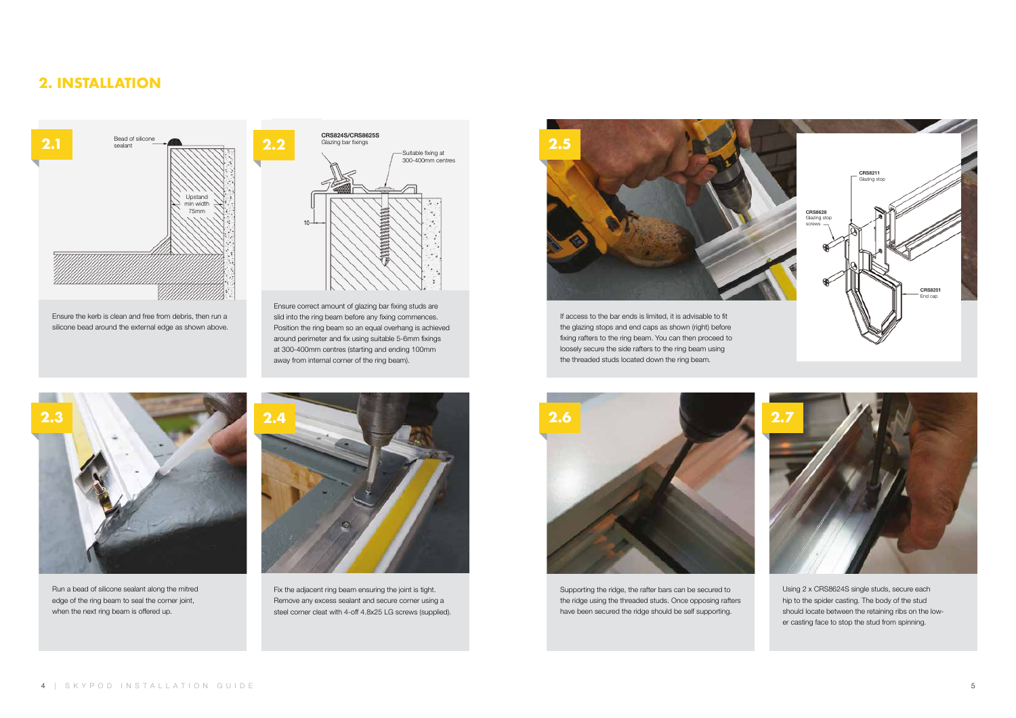

Run a bead of silicone sealant along the mitred edge of the ring beam to seal the corner joint, when the next ring beam is offered up.

Ensure correct amount of glazing bar fixing studs are slid into the ring beam before any fixing commences. Position the ring beam so an equal overhang is achieved around perimeter and fix using suitable 5-6mm fixings at 300-400mm centres (starting and ending 100mm away from internal corner of the ring beam).





Fix the adjacent ring beam ensuring the joint is tight. Remove any excess sealant and secure corner using a steel corner cleat with 4-off 4.8x25 LG screws (supplied).





Supporting the ridge, the rafter bars can be secured to the ridge using the threaded studs. Once opposing rafters have been secured the ridge should be self supporting.

Ensure the kerb is clean and free from debris, then run a silicone bead around the external edge as shown above.

> Using 2 x CRS8624S single studs, secure each hip to the spider casting. The body of the stud should locate between the retaining ribs on the lower casting face to stop the stud from spinning.



#### 2. INSTALLATION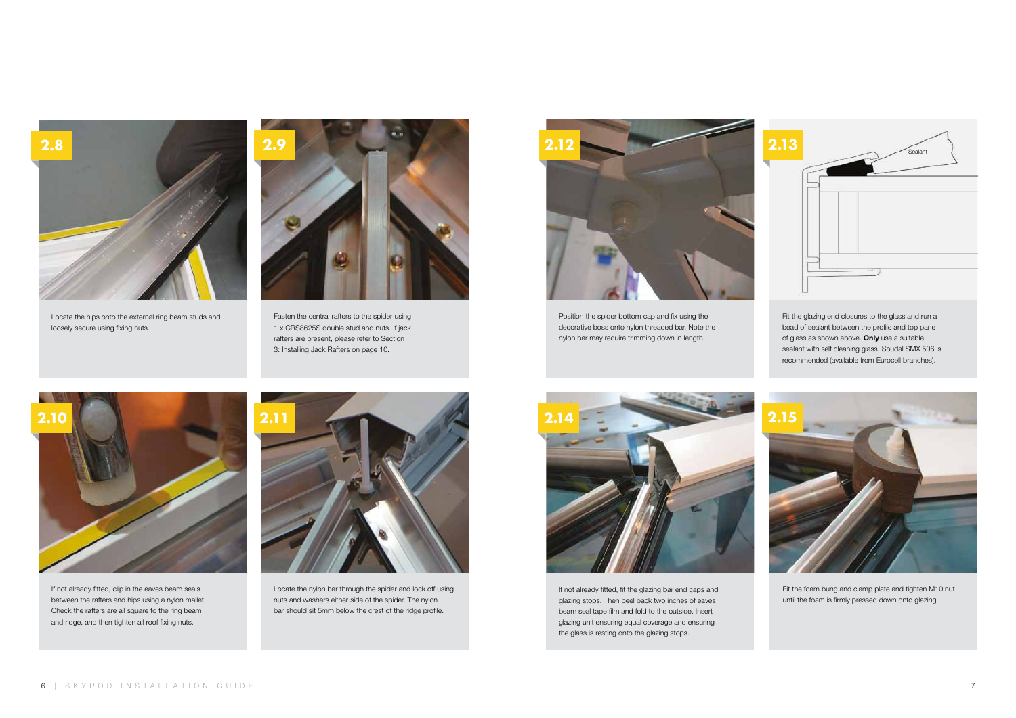

Position the spider bottom cap and fix using the decorative boss onto nylon threaded bar. Note the nylon bar may require trimming down in length.



If not already fitted, fit the glazing bar end caps and glazing stops. Then peel back two inches of eaves beam seal tape film and fold to the outside. Insert glazing unit ensuring equal coverage and ensuring the glass is resting onto the glazing stops.

Fit the foam bung and clamp plate and tighten M10 nut until the foam is firmly pressed down onto glazing.



Fasten the central rafters to the spider using 1 x CRS8625S double stud and nuts. If jack rafters are present, please refer to Section 3: Installing Jack Rafters on page 10.



Locate the hips onto the external ring beam studs and loosely secure using fixing nuts.



If not already fitted, clip in the eaves beam seals between the rafters and hips using a nylon mallet. Check the rafters are all square to the ring beam and ridge, and then tighten all roof fixing nuts.

bead of sealant between the profile and top pane of glass as shown above. Only use a suitable sealant with self cleaning glass. Soudal SMX 506 is recommended (available from Eurocell branches).





Locate the nylon bar through the spider and lock off using nuts and washers either side of the spider. The nylon bar should sit 5mm below the crest of the ridge profile.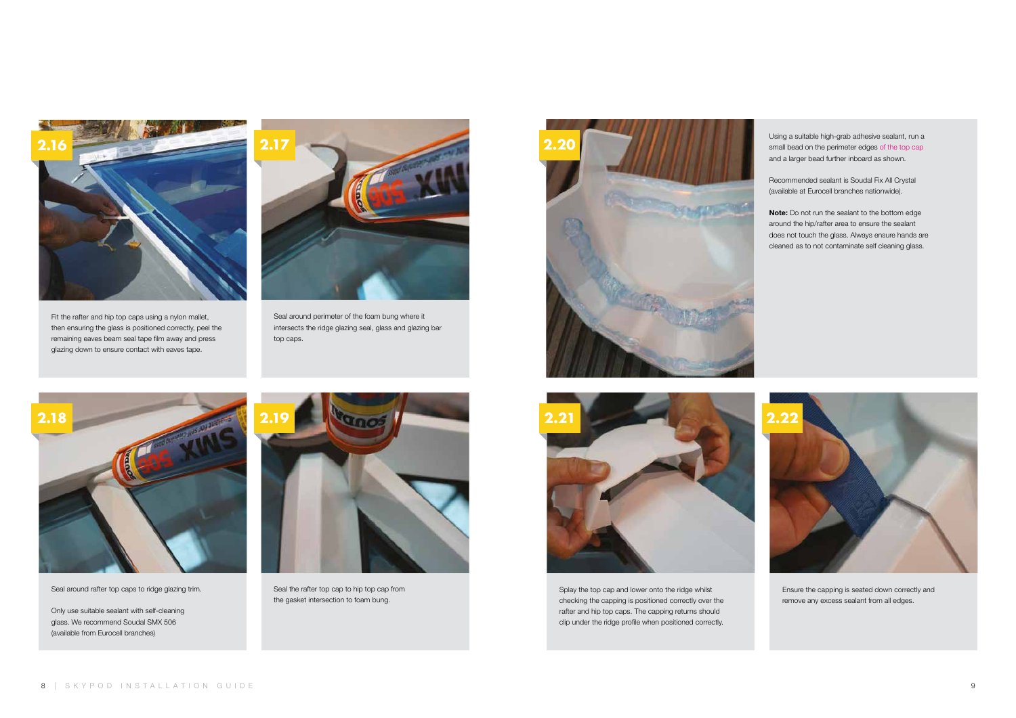



Ensure the capping is seated down correctly and remove any excess sealant from all edges.



Seal around perimeter of the foam bung where it intersects the ridge glazing seal, glass and glazing bar top caps.



Fit the rafter and hip top caps using a nylon mallet, then ensuring the glass is positioned correctly, peel the remaining eaves beam seal tape film away and press glazing down to ensure contact with eaves tape.



Seal around rafter top caps to ridge glazing trim.

Only use suitable sealant with self-cleaning glass. We recommend Soudal SMX 506 (available from Eurocell branches)



Note: Do not run the sealant to the bottom edge around the hip/rafter area to ensure the sealant does not touch the glass. Always ensure hands are cleaned as to not contaminate self cleaning glass.

Splay the top cap and lower onto the ridge whilst checking the capping is positioned correctly over the rafter and hip top caps. The capping returns should clip under the ridge profile when positioned correctly.

8 | SKYPOD INSTALLATION GUIDE



Seal the rafter top cap to hip top cap from the gasket intersection to foam bung.

Using a suitable high-grab adhesive sealant, run a small bead on the perimeter edges of the top cap and a larger bead further inboard as shown.

Recommended sealant is Soudal Fix All Crystal (available at Eurocell branches nationwide).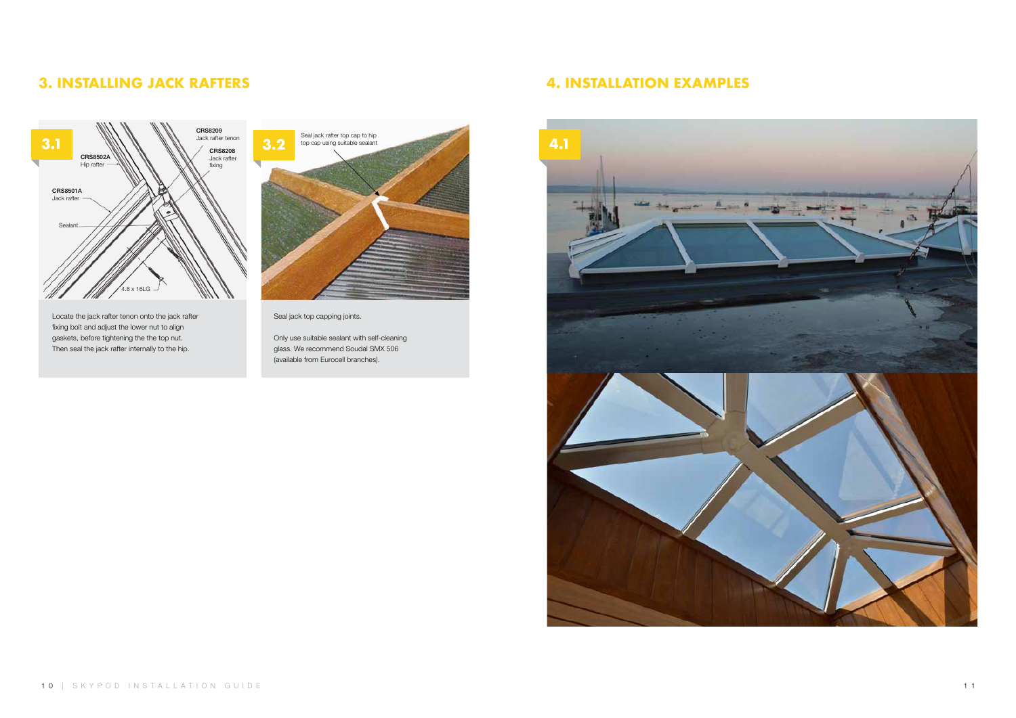Seal jack top capping joints.

Only use suitable sealant with self-cleaning glass. We recommend Soudal SMX 506 (available from Eurocell branches).

Locate the jack rafter tenon onto the jack rafter fixing bolt and adjust the lower nut to align gaskets, before tightening the the top nut. Then seal the jack rafter internally to the hip.



#### 3. INSTALLING JACK RAFTERS



#### 4. INSTALLATION EXAMPLES